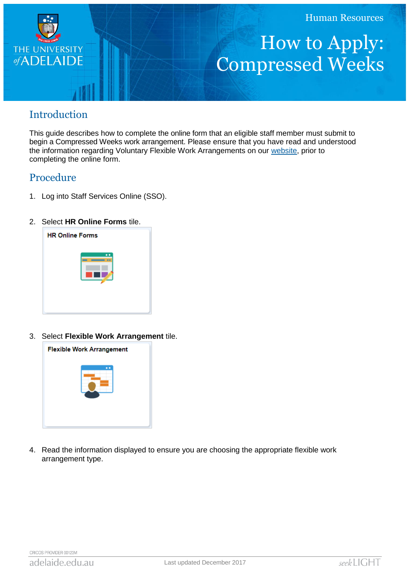

## How to Apply: Compressed Weeks

## Introduction

This guide describes how to complete the online form that an eligible staff member must submit to begin a Compressed Weeks work arrangement. Please ensure that you have read and understood the information regarding Voluntary Flexible Work Arrangements on our [website,](http://www.adelaide.edu.au/hr/systems/sso/vfwa) prior to completing the online form.

## Procedure

- 1. Log into Staff Services Online (SSO).
- 2. Select **HR Online Forms** tile.



3. Select **Flexible Work Arrangement** tile.



4. Read the information displayed to ensure you are choosing the appropriate flexible work arrangement type.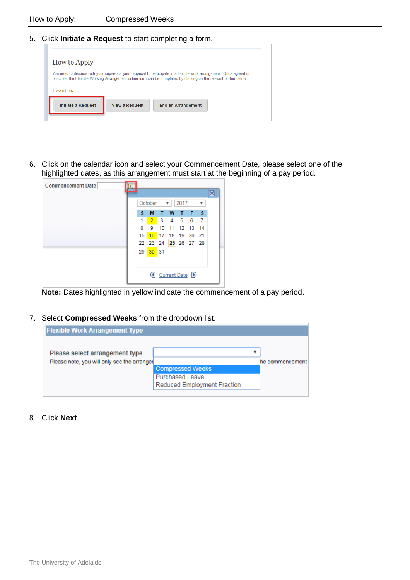5. Click **Initiate a Request** to start completing a form.

| <b>How to Apply</b>       |                       |                                                                                                                                                                                                                                            |  |
|---------------------------|-----------------------|--------------------------------------------------------------------------------------------------------------------------------------------------------------------------------------------------------------------------------------------|--|
|                           |                       | You need to discuss with your supervisor your proposal to participate in a flexible work arrangement. Once agreed in<br>principle, the Flexible Working Arrangement online form can be completed by clicking on the relevant button below. |  |
| I want to:                |                       |                                                                                                                                                                                                                                            |  |
| <b>Initiate a Request</b> | <b>View a Request</b> | <b>End an Arrangement</b>                                                                                                                                                                                                                  |  |

6. Click on the calendar icon and select your Commencement Date, please select one of the highlighted dates, as this arrangement must start at the beginning of a pay period.

| <b>Commencement Date</b> | Bt |                 |          |   |   |                      |       |     |   |
|--------------------------|----|-----------------|----------|---|---|----------------------|-------|-----|---|
|                          |    |                 |          |   |   |                      |       |     | × |
|                          |    |                 | October  |   | ▼ | 2017                 |       | ▼   |   |
|                          |    | s               | м        | т | W | ⊕                    | $F-S$ |     |   |
|                          |    | 1               |          |   |   | 2 3 4 5 6            |       | - 7 |   |
|                          |    | 8               | 9        |   |   | 10 11 12 13 14       |       |     |   |
|                          |    | 15 <sub>1</sub> |          |   |   | 16 17 18 19 20 21    |       |     |   |
|                          |    |                 |          |   |   | 22 23 24 25 26 27 28 |       |     |   |
|                          |    |                 | 29 30 31 |   |   |                      |       |     |   |
|                          |    |                 |          |   |   |                      |       |     |   |
|                          |    |                 |          |   |   |                      |       |     |   |
|                          |    |                 |          |   |   | Current Date D       |       |     |   |
|                          |    |                 |          |   |   |                      |       |     |   |

**Note:** Dates highlighted in yellow indicate the commencement of a pay period.

7. Select **Compressed Weeks** from the dropdown list.

| <b>Flexible Work Arrangement Type</b>                                         |                                                                                  |                 |
|-------------------------------------------------------------------------------|----------------------------------------------------------------------------------|-----------------|
| Please select arrangement type<br>Please note, you will only see the arranger |                                                                                  | he commencement |
|                                                                               | <b>Compressed Weeks</b><br><b>Purchased Leave</b><br>Reduced Employment Fraction |                 |

8. Click **Next**.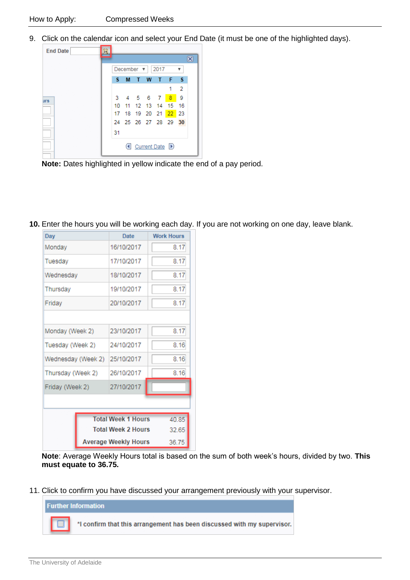9. Click on the calendar icon and select your End Date (it must be one of the highlighted days).

| <b>End Date</b> | Ħ |    |                 |   |             |                    |                |    |
|-----------------|---|----|-----------------|---|-------------|--------------------|----------------|----|
|                 |   |    |                 |   |             |                    |                |    |
|                 |   |    | December $\Psi$ |   |             | 2017               |                | v  |
|                 |   | s  | M               | T | W           | Т                  | F              | -S |
|                 |   |    |                 |   |             |                    |                | 2  |
|                 |   |    |                 |   | 3 4 5 6 7   |                    | 8 <sup>1</sup> | -9 |
|                 |   | 10 |                 |   | 11 12 13 14 |                    | 15             | 16 |
|                 |   |    |                 |   |             | 17 18 19 20 21 22  |                | 23 |
|                 |   |    |                 |   |             | 24 25 26 27 28 29  |                | 30 |
|                 |   | 31 |                 |   |             |                    |                |    |
|                 |   |    |                 |   |             | (4 Current Date D) |                |    |

**Note:** Dates highlighted in yellow indicate the end of a pay period.

**10.** Enter the hours you will be working each day. If you are not working on one day, leave blank.

| Day                                | Date       | <b>Work Hours</b> |  |  |  |  |  |
|------------------------------------|------------|-------------------|--|--|--|--|--|
| Monday                             | 16/10/2017 | 8.17              |  |  |  |  |  |
| Tuesday                            | 17/10/2017 | 8.17              |  |  |  |  |  |
| Wednesday                          | 18/10/2017 | 8.17              |  |  |  |  |  |
| Thursday                           | 19/10/2017 | 8.17              |  |  |  |  |  |
| Friday                             | 20/10/2017 | 8.17              |  |  |  |  |  |
|                                    |            |                   |  |  |  |  |  |
| Monday (Week 2)                    | 23/10/2017 | 8.17              |  |  |  |  |  |
| Tuesday (Week 2)                   | 24/10/2017 | 8.16              |  |  |  |  |  |
| Wednesday (Week 2)                 | 25/10/2017 | 8.16              |  |  |  |  |  |
| Thursday (Week 2)                  | 26/10/2017 | 8.16              |  |  |  |  |  |
| Friday (Week 2)                    | 27/10/2017 |                   |  |  |  |  |  |
|                                    |            |                   |  |  |  |  |  |
| <b>Total Week 1 Hours</b><br>40.85 |            |                   |  |  |  |  |  |
| <b>Total Week 2 Hours</b>          | 32.65      |                   |  |  |  |  |  |
| <b>Average Weekly Hours</b>        | 36.75      |                   |  |  |  |  |  |

**Note**: Average Weekly Hours total is based on the sum of both week's hours, divided by two. **This must equate to 36.75.**

11. Click to confirm you have discussed your arrangement previously with your supervisor.